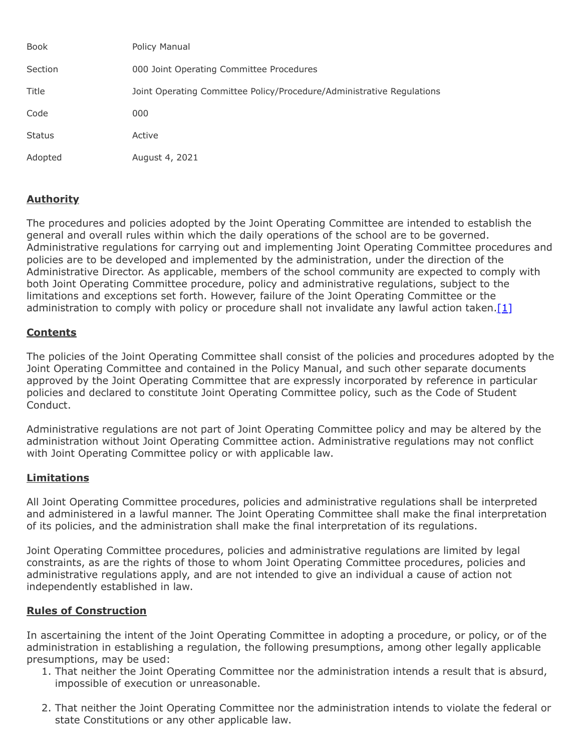| Book          | Policy Manual                                                         |
|---------------|-----------------------------------------------------------------------|
| Section       | 000 Joint Operating Committee Procedures                              |
| Title         | Joint Operating Committee Policy/Procedure/Administrative Regulations |
| Code          | 000                                                                   |
| <b>Status</b> | Active                                                                |
| Adopted       | August 4, 2021                                                        |

## **Authority**

The procedures and policies adopted by the Joint Operating Committee are intended to establish the general and overall rules within which the daily operations of the school are to be governed. Administrative regulations for carrying out and implementing Joint Operating Committee procedures and policies are to be developed and implemented by the administration, under the direction of the Administrative Director. As applicable, members of the school community are expected to comply with both Joint Operating Committee procedure, policy and administrative regulations, subject to the limitations and exceptions set forth. However, failure of the Joint Operating Committee or the administration to comply with policy or procedure shall not invalidate any lawful action taken. $[1]$ 

## **Contents**

The policies of the Joint Operating Committee shall consist of the policies and procedures adopted by the Joint Operating Committee and contained in the Policy Manual, and such other separate documents approved by the Joint Operating Committee that are expressly incorporated by reference in particular policies and declared to constitute Joint Operating Committee policy, such as the Code of Student Conduct.

Administrative regulations are not part of Joint Operating Committee policy and may be altered by the administration without Joint Operating Committee action. Administrative regulations may not conflict with Joint Operating Committee policy or with applicable law.

## **Limitations**

All Joint Operating Committee procedures, policies and administrative regulations shall be interpreted and administered in a lawful manner. The Joint Operating Committee shall make the final interpretation of its policies, and the administration shall make the final interpretation of its regulations.

Joint Operating Committee procedures, policies and administrative regulations are limited by legal constraints, as are the rights of those to whom Joint Operating Committee procedures, policies and administrative regulations apply, and are not intended to give an individual a cause of action not independently established in law.

## **Rules of Construction**

In ascertaining the intent of the Joint Operating Committee in adopting a procedure, or policy, or of the administration in establishing a regulation, the following presumptions, among other legally applicable presumptions, may be used:

- 1. That neither the Joint Operating Committee nor the administration intends a result that is absurd, impossible of execution or unreasonable.
- 2. That neither the Joint Operating Committee nor the administration intends to violate the federal or state Constitutions or any other applicable law.